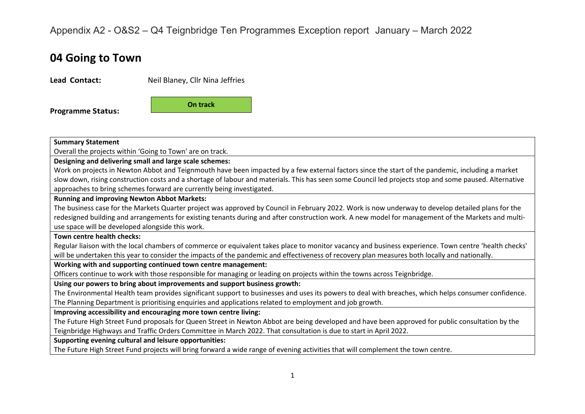## Appendix A2 - O&S2 – Q4 Teignbridge Ten Programmes Exception report January – March 2022

# **04 Going to Town**

| Lead Contact:                                                                                                                                          | Neil Blaney, Cllr Nina Jeffries                                                                                                                                                                                                                                                                        |  |  |  |  |  |
|--------------------------------------------------------------------------------------------------------------------------------------------------------|--------------------------------------------------------------------------------------------------------------------------------------------------------------------------------------------------------------------------------------------------------------------------------------------------------|--|--|--|--|--|
| <b>Programme Status:</b>                                                                                                                               | On track                                                                                                                                                                                                                                                                                               |  |  |  |  |  |
| <b>Summary Statement</b>                                                                                                                               |                                                                                                                                                                                                                                                                                                        |  |  |  |  |  |
| Overall the projects within 'Going to Town' are on track.                                                                                              |                                                                                                                                                                                                                                                                                                        |  |  |  |  |  |
| Designing and delivering small and large scale schemes:                                                                                                |                                                                                                                                                                                                                                                                                                        |  |  |  |  |  |
|                                                                                                                                                        | Work on projects in Newton Abbot and Teignmouth have been impacted by a few external factors since the start of the pandemic, including a market                                                                                                                                                       |  |  |  |  |  |
| slow down, rising construction costs and a shortage of labour and materials. This has seen some Council led projects stop and some paused. Alternative |                                                                                                                                                                                                                                                                                                        |  |  |  |  |  |
|                                                                                                                                                        | approaches to bring schemes forward are currently being investigated.                                                                                                                                                                                                                                  |  |  |  |  |  |
| <b>Running and improving Newton Abbot Markets:</b>                                                                                                     |                                                                                                                                                                                                                                                                                                        |  |  |  |  |  |
|                                                                                                                                                        | The business case for the Markets Quarter project was approved by Council in February 2022. Work is now underway to develop detailed plans for the                                                                                                                                                     |  |  |  |  |  |
| use space will be developed alongside this work.                                                                                                       | redesigned building and arrangements for existing tenants during and after construction work. A new model for management of the Markets and multi-                                                                                                                                                     |  |  |  |  |  |
| Town centre health checks:                                                                                                                             |                                                                                                                                                                                                                                                                                                        |  |  |  |  |  |
|                                                                                                                                                        | Regular liaison with the local chambers of commerce or equivalent takes place to monitor vacancy and business experience. Town centre 'health checks'<br>will be undertaken this year to consider the impacts of the pandemic and effectiveness of recovery plan measures both locally and nationally. |  |  |  |  |  |
|                                                                                                                                                        | Working with and supporting continued town centre management:                                                                                                                                                                                                                                          |  |  |  |  |  |
|                                                                                                                                                        | Officers continue to work with those responsible for managing or leading on projects within the towns across Teignbridge.                                                                                                                                                                              |  |  |  |  |  |
|                                                                                                                                                        | Using our powers to bring about improvements and support business growth:                                                                                                                                                                                                                              |  |  |  |  |  |
|                                                                                                                                                        | The Environmental Health team provides significant support to businesses and uses its powers to deal with breaches, which helps consumer confidence.                                                                                                                                                   |  |  |  |  |  |
| The Planning Department is prioritising enquiries and applications related to employment and job growth.                                               |                                                                                                                                                                                                                                                                                                        |  |  |  |  |  |
|                                                                                                                                                        | Improving accessibility and encouraging more town centre living:                                                                                                                                                                                                                                       |  |  |  |  |  |
|                                                                                                                                                        | The Future High Street Fund proposals for Queen Street in Newton Abbot are being developed and have been approved for public consultation by the                                                                                                                                                       |  |  |  |  |  |
| Teignbridge Highways and Traffic Orders Committee in March 2022. That consultation is due to start in April 2022.                                      |                                                                                                                                                                                                                                                                                                        |  |  |  |  |  |
| Supporting evening cultural and leisure opportunities:                                                                                                 |                                                                                                                                                                                                                                                                                                        |  |  |  |  |  |
|                                                                                                                                                        | The Future High Street Fund projects will bring forward a wide range of evening activities that will complement the town centre.                                                                                                                                                                       |  |  |  |  |  |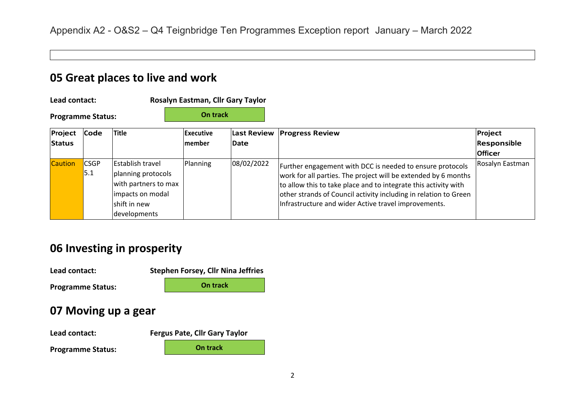### **05 Great places to live and work**

**Lead contact: Rosalyn Eastman, Cllr Gary Taylor**

**On track**

**Programme Status:**

| Project        | Code               | Title                                                                                                                     | Executive     |            | Last Review Progress Review                                                                                                                                                                                                                                                                                                | Project         |  |
|----------------|--------------------|---------------------------------------------------------------------------------------------------------------------------|---------------|------------|----------------------------------------------------------------------------------------------------------------------------------------------------------------------------------------------------------------------------------------------------------------------------------------------------------------------------|-----------------|--|
| Status         |                    |                                                                                                                           | <b>member</b> | Date       |                                                                                                                                                                                                                                                                                                                            | Responsible     |  |
|                |                    |                                                                                                                           |               |            |                                                                                                                                                                                                                                                                                                                            | <b>Officer</b>  |  |
| <b>Caution</b> | <b>CSGP</b><br>5.1 | <b>Establish travel</b><br>planning protocols<br>with partners to max<br>impacts on modal<br>shift in new<br>developments | Planning      | 08/02/2022 | Further engagement with DCC is needed to ensure protocols<br>work for all parties. The project will be extended by 6 months<br>to allow this to take place and to integrate this activity with<br>other strands of Council activity including in relation to Green<br>Infrastructure and wider Active travel improvements. | Rosalyn Eastman |  |

## **06 Investing in prosperity**

**Lead contact: Stephen Forsey, Cllr Nina Jeffries**

**Programme Status:**

#### **07 Moving up a gear**

**Lead contact:** 

**Programme Status:**

| <b>Fergus Pate, Cllr Gary Taylor</b> |          |  |  |  |  |  |  |
|--------------------------------------|----------|--|--|--|--|--|--|
|                                      | On track |  |  |  |  |  |  |

**On track**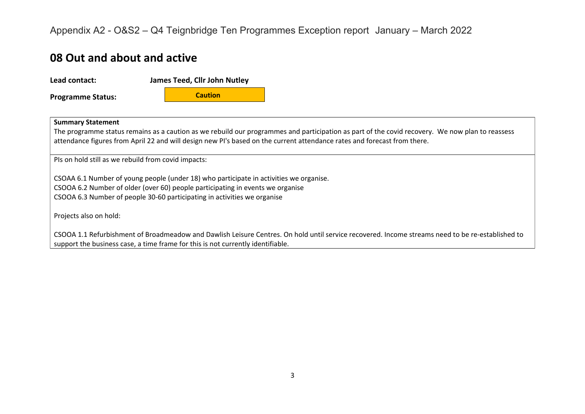Appendix A2 - O&S2 – Q4 Teignbridge Ten Programmes Exception report January – March 2022

#### **08 Out and about and active**

**Lead contact: James Teed, Cllr John Nutley**

**Programme Status:**

 **Caution**

#### **Summary Statement**

The programme status remains as a caution as we rebuild our programmes and participation as part of the covid recovery. We now plan to reassess attendance figures from April 22 and will design new PI's based on the current attendance rates and forecast from there.

PIs on hold still as we rebuild from covid impacts:

CSOAA 6.1 Number of young people (under 18) who participate in activities we organise. CSOOA 6.2 Number of older (over 60) people participating in events we organise CSOOA 6.3 Number of people 30-60 participating in activities we organise

Projects also on hold:

CSOOA 1.1 Refurbishment of Broadmeadow and Dawlish Leisure Centres. On hold until service recovered. Income streams need to be re-established to support the business case, a time frame for this is not currently identifiable.